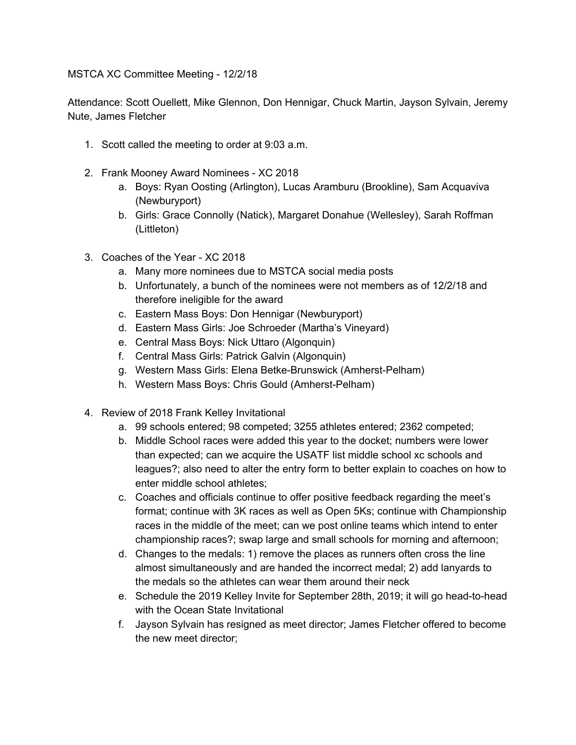MSTCA XC Committee Meeting - 12/2/18

Attendance: Scott Ouellett, Mike Glennon, Don Hennigar, Chuck Martin, Jayson Sylvain, Jeremy Nute, James Fletcher

- 1. Scott called the meeting to order at 9:03 a.m.
- 2. Frank Mooney Award Nominees XC 2018
	- a. Boys: Ryan Oosting (Arlington), Lucas Aramburu (Brookline), Sam Acquaviva (Newburyport)
	- b. Girls: Grace Connolly (Natick), Margaret Donahue (Wellesley), Sarah Roffman (Littleton)
- 3. Coaches of the Year XC 2018
	- a. Many more nominees due to MSTCA social media posts
	- b. Unfortunately, a bunch of the nominees were not members as of 12/2/18 and therefore ineligible for the award
	- c. Eastern Mass Boys: Don Hennigar (Newburyport)
	- d. Eastern Mass Girls: Joe Schroeder (Martha's Vineyard)
	- e. Central Mass Boys: Nick Uttaro (Algonquin)
	- f. Central Mass Girls: Patrick Galvin (Algonquin)
	- g. Western Mass Girls: Elena Betke-Brunswick (Amherst-Pelham)
	- h. Western Mass Boys: Chris Gould (Amherst-Pelham)
- 4. Review of 2018 Frank Kelley Invitational
	- a. 99 schools entered; 98 competed; 3255 athletes entered; 2362 competed;
	- b. Middle School races were added this year to the docket; numbers were lower than expected; can we acquire the USATF list middle school xc schools and leagues?; also need to alter the entry form to better explain to coaches on how to enter middle school athletes;
	- c. Coaches and officials continue to offer positive feedback regarding the meet's format; continue with 3K races as well as Open 5Ks; continue with Championship races in the middle of the meet; can we post online teams which intend to enter championship races?; swap large and small schools for morning and afternoon;
	- d. Changes to the medals: 1) remove the places as runners often cross the line almost simultaneously and are handed the incorrect medal; 2) add lanyards to the medals so the athletes can wear them around their neck
	- e. Schedule the 2019 Kelley Invite for September 28th, 2019; it will go head-to-head with the Ocean State Invitational
	- f. Jayson Sylvain has resigned as meet director; James Fletcher offered to become the new meet director;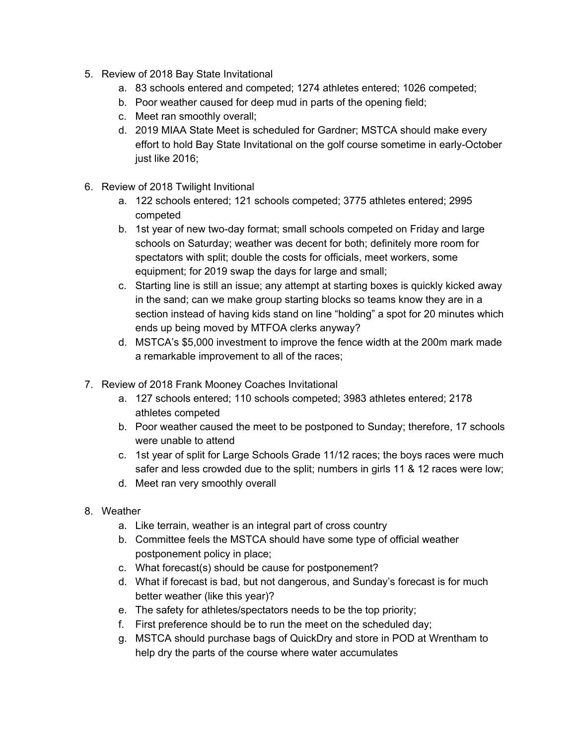- 5. Review of 2018 Bay State Invitational
	- a. 83 schools entered and competed; 1274 athletes entered; 1026 competed;
	- b. Poor weather caused for deep mud in parts of the opening field;
	- c. Meet ran smoothly overall;
	- d. 2019 MIAA State Meet is scheduled for Gardner; MSTCA should make every effort to hold Bay State Invitational on the golf course sometime in early-October just like 2016;
- 6. Review of 2018 Twilight Invitional
	- a. 122 schools entered; 121 schools competed; 3775 athletes entered; 2995 competed
	- b. 1st year of new two-day format; small schools competed on Friday and large schools on Saturday; weather was decent for both; definitely more room for spectators with split; double the costs for officials, meet workers, some equipment; for 2019 swap the days for large and small;
	- c. Starting line is still an issue; any attempt at starting boxes is quickly kicked away in the sand; can we make group starting blocks so teams know they are in a section instead of having kids stand on line "holding" a spot for 20 minutes which ends up being moved by MTFOA clerks anyway?
	- d. MSTCA's \$5,000 investment to improve the fence width at the 200m mark made a remarkable improvement to all of the races;
- 7. Review of 2018 Frank Mooney Coaches Invitational
	- a. 127 schools entered; 110 schools competed; 3983 athletes entered; 2178 athletes competed
	- b. Poor weather caused the meet to be postponed to Sunday; therefore, 17 schools were unable to attend
	- c. 1st year of split for Large Schools Grade 11/12 races; the boys races were much safer and less crowded due to the split; numbers in girls 11 & 12 races were low;
	- d. Meet ran very smoothly overall
- 8. Weather
	- a. Like terrain, weather is an integral part of cross country
	- b. Committee feels the MSTCA should have some type of official weather postponement policy in place;
	- c. What forecast(s) should be cause for postponement?
	- d. What if forecast is bad, but not dangerous, and Sunday's forecast is for much better weather (like this year)?
	- e. The safety for athletes/spectators needs to be the top priority;
	- f. First preference should be to run the meet on the scheduled day;
	- g. MSTCA should purchase bags of QuickDry and store in POD at Wrentham to help dry the parts of the course where water accumulates